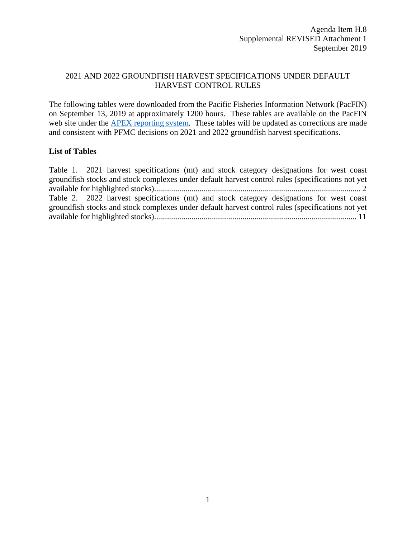## 2021 AND 2022 GROUNDFISH HARVEST SPECIFICATIONS UNDER DEFAULT HARVEST CONTROL RULES

The following tables were downloaded from the Pacific Fisheries Information Network (PacFIN) on September 13, 2019 at approximately 1200 hours. These tables are available on the PacFIN web site under the **APEX** reporting system. These tables will be updated as corrections are made and consistent with PFMC decisions on 2021 and 2022 groundfish harvest specifications.

## **List of Tables**

| Table 1. 2021 harvest specifications (mt) and stock category designations for west coast          |  |
|---------------------------------------------------------------------------------------------------|--|
| groundfish stocks and stock complexes under default harvest control rules (specifications not yet |  |
|                                                                                                   |  |
| Table 2. 2022 harvest specifications (mt) and stock category designations for west coast          |  |
| groundfish stocks and stock complexes under default harvest control rules (specifications not yet |  |
|                                                                                                   |  |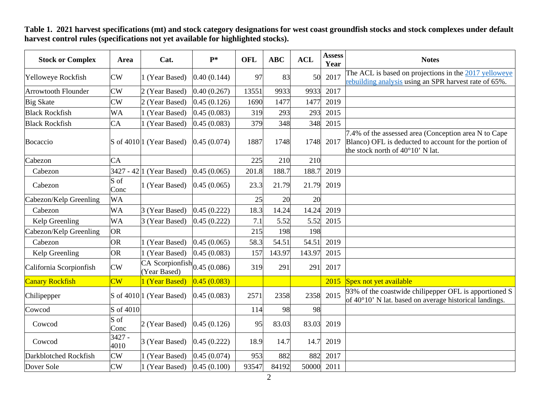**Stock or Complex Area Area Cat. P\*** OFL ABC ACL  $\begin{array}{|c|c|c|c|c|}\n\hline\nX\end{array}$  Area  $\begin{array}{|c|c|c|c|c|}\n\hline\n\text{7} & \text{7} & \text{8} & \text{8} & \text{8} \\
\hline\n\text{8} & \text{9} & \text{10} & \text{10} & \text{10} & \text{10} & \text{10} \\
\hline\n\end{array}$ Yelloweye Rockfish  $\begin{array}{c|c|c|c|c} \text{CW} & 1 \text{ (Year Based)} & 0.40 (0.144) & 97 & 83 & 50 & 2017 \end{array}$  The ACL is based on projections in the 2017 yelloweye rebuilding analysis using an SPR harvest rate of 65%. Arrowtooth Flounder CW 2 (Year Based) 0.40 (0.267) 13551 9933 9933 2017 Big Skate  $CW = 2$  (Year Based)  $0.45 (0.126) = 1690 = 1477 = 1477 = 2019$ Black Rockfish WA 1 (Year Based) 0.45 (0.083) 319 293 293 2015 Black Rockfish  $CA = \begin{bmatrix} 1 & (Year Based) & 0.45 & (0.083) & 379 & 348 & 348 & 2015 \end{bmatrix}$ Bocaccio  $\vert$ S of 4010 1 (Year Based)  $\vert$  0.45 (0.074)  $\vert$  1887  $\vert$  1748 1748 2017 7.4% of the assessed area (Conception area N to Cape Blanco) OFL is deducted to account for the portion of the stock north of 40°10' N lat. Cabezon CA 225 210 210 Cabezon 3427 - 42 1 (Year Based) 0.45 (0.065) 201.8 188.7 188.7 2019 Cabezon S of  $\begin{array}{|l|l|l|}\n\hline\n\text{Cone} & 1 \text{ (Year Based)} & 0.45 \text{ (0.065)} & 23.3 & 21.79 & 21.79 \\
\hline\n\end{array}$ Cabezon/Kelp Greenling  $|WA|25|20|20$ Cabezon WA 3 (Year Based)  $\begin{array}{|l} 0.45 \ (0.222) \end{array}$  18.3 14.24 14.24 2019 Kelp Greenling WA 3 (Year Based)  $\begin{array}{|l}\n0.45 \ (0.222)\n\end{array}$  7.1 5.52 5.52 2015 Cabezon/Kelp Greenling OR 198 215 198 198 Cabezon **OR** 1 (Year Based)  $\begin{array}{|c|c|c|c|c|c|c|c|} \hline 0.45 & 0.065 & 58.3 & 54.51 & 54.51 & 2019 \hline \end{array}$ Kelp Greenling  $OR$  | 1 (Year Based)  $|0.45 (0.083)$  | 157 | 143.97 | 143.97 | 2015 California Scorpionfish CW CA Scorpionfish (0.45 (0.086) 319 291 2017 Canary Rockfish CW 1 (Year Based) 0.45 (0.083) 2015 Spex not yet available Chilipepper S of 4010 1 (Year Based)  $\begin{array}{|l|l|}\n\hline\n0.45 (0.083) & 2571 & 2358 & 2358 & 2015 & 93\% \text{ of the coastwide chilipepper OFL is apportioned S} \\
\hline\n\end{array}$ Cowcod  $S \text{ of } 4010$  114 98 98 Cowcod S of  $2$  (Year Based)  $0.45 (0.126)$  95 83.03 83.03 2019 Cowcod  $\begin{array}{|l|c|c|c|c|c|}\n\hline\n3427 & 3 \text{(Year Based)} & 0.45 \text{ (0.222)} & 18.9 & 14.7 & 14.7 & 2019\n\end{array}$ Darkblotched Rockfish CW 1 (Year Based) 0.45 (0.074) 953 882 882 2017 Dover Sole CW 1 (Year Based) 0.45 (0.100) 93547 84192 50000 2011

**Table 1. 2021 harvest specifications (mt) and stock category designations for west coast groundfish stocks and stock complexes under default harvest control rules (specifications not yet available for highlighted stocks).**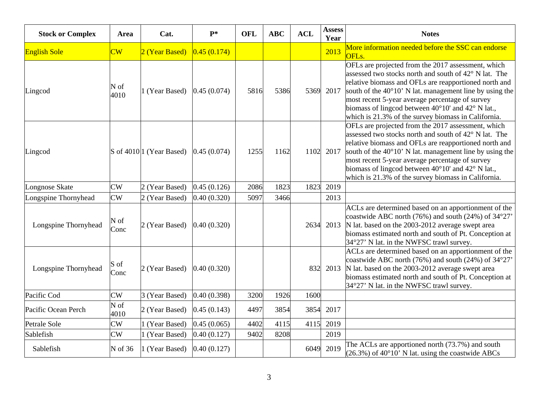| <b>Stock or Complex</b> | Area                   | Cat.                                   | $P*$        | <b>OFL</b> | <b>ABC</b> | <b>ACL</b> | <b>Assess</b><br>Year | <b>Notes</b>                                                                                                                                                                                                                                                                                                                                                                                                              |
|-------------------------|------------------------|----------------------------------------|-------------|------------|------------|------------|-----------------------|---------------------------------------------------------------------------------------------------------------------------------------------------------------------------------------------------------------------------------------------------------------------------------------------------------------------------------------------------------------------------------------------------------------------------|
| <b>English Sole</b>     | $\overline{\text{CW}}$ | 2 (Year Based)                         | 0.45(0.174) |            |            |            | 2013                  | More information needed before the SSC can endorse<br>OFL <sub>s.</sub>                                                                                                                                                                                                                                                                                                                                                   |
| Lingcod                 | N of<br>4010           | 1 (Year Based)                         | 0.45(0.074) | 5816       | 5386       | 5369       | 2017                  | OFLs are projected from the 2017 assessment, which<br>assessed two stocks north and south of 42° N lat. The<br>relative biomass and OFLs are reapportioned north and<br>south of the $40^{\circ}10'$ N lat. management line by using the<br>most recent 5-year average percentage of survey<br>biomass of lingcod between 40°10' and 42° N lat.,<br>which is 21.3% of the survey biomass in California.                   |
| Lingcod                 |                        | S of $4010$ <sup>[1</sup> (Year Based) | 0.45(0.074) | 1255       | 1162       | 1102       | 2017                  | OFLs are projected from the 2017 assessment, which<br>assessed two stocks north and south of 42° N lat. The<br>relative biomass and OFLs are reapportioned north and<br>south of the $40^{\circ}10'$ N lat. management line by using the<br>most recent 5-year average percentage of survey<br>biomass of lingcod between $40^{\circ}10'$ and $42^{\circ}$ N lat.,<br>which is 21.3% of the survey biomass in California. |
| Longnose Skate          | CW                     | 2 (Year Based)                         | 0.45(0.126) | 2086       | 1823       | 1823       | 2019                  |                                                                                                                                                                                                                                                                                                                                                                                                                           |
| Longspine Thornyhead    | CW                     | 2 (Year Based)                         | 0.40(0.320) | 5097       | 3466       |            | 2013                  |                                                                                                                                                                                                                                                                                                                                                                                                                           |
| Longspine Thornyhead    | N of<br>Conc           | 2 (Year Based)                         | 0.40(0.320) |            |            |            |                       | ACLs are determined based on an apportionment of the<br>coastwide ABC north (76%) and south (24%) of 34°27'<br>2634 2013 N lat. based on the 2003-2012 average swept area<br>biomass estimated north and south of Pt. Conception at<br>34°27' N lat. in the NWFSC trawl survey.                                                                                                                                           |
| Longspine Thornyhead    | S of<br>Conc           | 2 (Year Based)                         | 0.40(0.320) |            |            | 832        | 2013                  | ACLs are determined based on an apportionment of the<br>coastwide ABC north (76%) and south (24%) of 34°27'<br>N lat. based on the 2003-2012 average swept area<br>biomass estimated north and south of Pt. Conception at<br>34°27' N lat. in the NWFSC trawl survey.                                                                                                                                                     |
| Pacific Cod             | CW                     | 3 (Year Based)                         | 0.40(0.398) | 3200       | 1926       | 1600       |                       |                                                                                                                                                                                                                                                                                                                                                                                                                           |
| Pacific Ocean Perch     | N of<br>4010           | 2 (Year Based)                         | 0.45(0.143) | 4497       | 3854       | 3854       | 2017                  |                                                                                                                                                                                                                                                                                                                                                                                                                           |
| Petrale Sole            | $\overline{\text{CW}}$ | (Year Based)                           | 0.45(0.065) | 4402       | 4115       | 4115       | 2019                  |                                                                                                                                                                                                                                                                                                                                                                                                                           |
| Sablefish               | CW                     | 1 (Year Based)                         | 0.40(0.127) | 9402       | 8208       |            | 2019                  |                                                                                                                                                                                                                                                                                                                                                                                                                           |
| Sablefish               | N of 36                | 1 (Year Based)                         | 0.40(0.127) |            |            | 6049       | 2019                  | The ACLs are apportioned north (73.7%) and south<br>$(26.3\%)$ of 40°10' N lat. using the coastwide ABCs                                                                                                                                                                                                                                                                                                                  |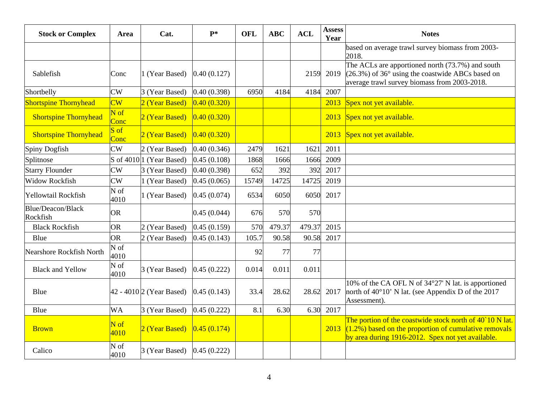| <b>Stock or Complex</b>       | Area                             | Cat.                     | $\mathbf{P}^*$ | <b>OFL</b> | <b>ABC</b> | <b>ACL</b> | <b>Assess</b><br>Year | <b>Notes</b>                                                                                                                                                              |
|-------------------------------|----------------------------------|--------------------------|----------------|------------|------------|------------|-----------------------|---------------------------------------------------------------------------------------------------------------------------------------------------------------------------|
|                               |                                  |                          |                |            |            |            |                       | based on average trawl survey biomass from 2003-<br>2018.                                                                                                                 |
| Sablefish                     | Conc                             | 1 (Year Based)           | 0.40(0.127)    |            |            | 2159       | 2019                  | The ACLs are apportioned north (73.7%) and south<br>$(26.3\%)$ of 36 $\degree$ using the coastwide ABCs based on<br>average trawl survey biomass from 2003-2018.          |
| Shortbelly                    | CW                               | 3 (Year Based)           | 0.40(0.398)    | 6950       | 4184       | 4184       | 2007                  |                                                                                                                                                                           |
| <b>Shortspine Thornyhead</b>  | $\overline{\text{CW}}$           | 2 (Year Based)           | 0.40(0.320)    |            |            |            |                       | 2013 Spex not yet available.                                                                                                                                              |
| <b>Shortspine Thornyhead</b>  | $\overline{\text{N of}}$<br>Conc | 2 (Year Based)           | 0.40(0.320)    |            |            |            |                       | 2013 Spex not yet available.                                                                                                                                              |
| <b>Shortspine Thornyhead</b>  | $S \text{ of }$<br>Conc          | 2 (Year Based)           | 0.40(0.320)    |            |            |            |                       | 2013 Spex not yet available.                                                                                                                                              |
| Spiny Dogfish                 | CW                               | 2 (Year Based)           | 0.40(0.346)    | 2479       | 1621       | 1621       | 2011                  |                                                                                                                                                                           |
| Splitnose                     | S of 4010 <sup> </sup> 1         | (Year Based)             | 0.45(0.108)    | 1868       | 1666       | 1666       | 2009                  |                                                                                                                                                                           |
| <b>Starry Flounder</b>        | $\overline{\text{CW}}$           | 3 (Year Based)           | 0.40(0.398)    | 652        | 392        | 392        | 2017                  |                                                                                                                                                                           |
| <b>Widow Rockfish</b>         | CW                               | 1 (Year Based)           | 0.45(0.065)    | 15749      | 14725      | 14725      | 2019                  |                                                                                                                                                                           |
| Yellowtail Rockfish           | N of<br>4010                     | (Year Based)             | 0.45(0.074)    | 6534       | 6050       | 6050       | 2017                  |                                                                                                                                                                           |
| Blue/Deacon/Black<br>Rockfish | <b>OR</b>                        |                          | 0.45(0.044)    | 676        | 570        | 570        |                       |                                                                                                                                                                           |
| <b>Black Rockfish</b>         | <b>OR</b>                        | 2 (Year Based)           | 0.45(0.159)    | 570        | 479.37     | 479.37     | 2015                  |                                                                                                                                                                           |
| Blue                          | <b>OR</b>                        | 2 (Year Based)           | 0.45(0.143)    | 105.7      | 90.58      | 90.58      | 2017                  |                                                                                                                                                                           |
| Nearshore Rockfish North      | $\overline{\text{N of}}$<br>4010 |                          |                | 92         | 77         | 77         |                       |                                                                                                                                                                           |
| <b>Black and Yellow</b>       | N of<br>4010                     | 3 (Year Based)           | 0.45(0.222)    | 0.014      | 0.011      | 0.011      |                       |                                                                                                                                                                           |
| Blue                          |                                  | 42 - 4010 2 (Year Based) | 0.45(0.143)    | 33.4       | 28.62      | 28.62      | 2017                  | 10% of the CA OFL N of 34°27' N lat. is apportioned<br>north of $40^{\circ}10'$ N lat. (see Appendix D of the 2017<br>Assessment).                                        |
| Blue                          | <b>WA</b>                        | 3 (Year Based)           | 0.45(0.222)    | 8.1        | 6.30       | 6.30       | 2017                  |                                                                                                                                                                           |
| <b>Brown</b>                  | $N$ of<br>4010                   | 2 (Year Based)           | 0.45(0.174)    |            |            |            | 2013                  | The portion of the coastwide stock north of 40 10 N lat.<br>$(1.2\%)$ based on the proportion of cumulative removals<br>by area during 1916-2012. Spex not yet available. |
| Calico                        | N of<br>4010                     | 3 (Year Based)           | 0.45(0.222)    |            |            |            |                       |                                                                                                                                                                           |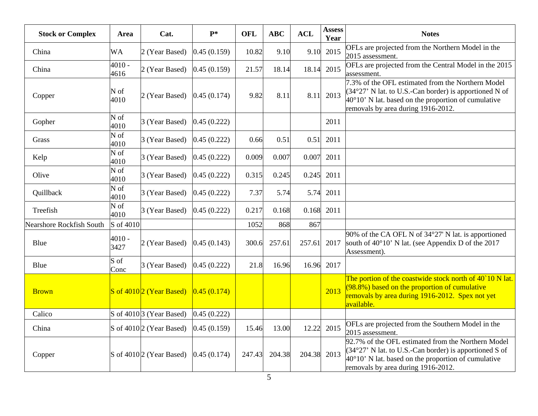| <b>Stock or Complex</b>         | Area                      | Cat.                                | $P*$        | <b>OFL</b> | <b>ABC</b> | <b>ACL</b> | <b>Assess</b><br>Year | <b>Notes</b>                                                                                                                                                                                                         |
|---------------------------------|---------------------------|-------------------------------------|-------------|------------|------------|------------|-----------------------|----------------------------------------------------------------------------------------------------------------------------------------------------------------------------------------------------------------------|
| China                           | <b>WA</b>                 | 2 (Year Based)                      | 0.45(0.159) | 10.82      | 9.10       | 9.10       | 2015                  | OFLs are projected from the Northern Model in the<br>2015 assessment.                                                                                                                                                |
| China                           | 4010 -<br>4616            | 2 (Year Based)                      | 0.45(0.159) | 21.57      | 18.14      | 18.14      | 2015                  | OFLs are projected from the Central Model in the 2015<br>assessment.                                                                                                                                                 |
| Copper                          | N of<br>4010              | 2 (Year Based)                      | 0.45(0.174) | 9.82       | 8.11       | 8.11       | 2013                  | 7.3% of the OFL estimated from the Northern Model<br>$(34°27' N lat.$ to U.S.-Can border) is apportioned N of<br>$40^{\circ}10'$ N lat. based on the proportion of cumulative<br>removals by area during 1916-2012.  |
| Gopher                          | N of<br>4010              | 3 (Year Based)                      | 0.45(0.222) |            |            |            | 2011                  |                                                                                                                                                                                                                      |
| Grass                           | $\overline{N}$ of<br>4010 | 3 (Year Based)                      | 0.45(0.222) | 0.66       | 0.51       | 0.51       | 2011                  |                                                                                                                                                                                                                      |
| Kelp                            | N of<br>4010              | 3 (Year Based)                      | 0.45(0.222) | 0.009      | 0.007      | 0.007      | 2011                  |                                                                                                                                                                                                                      |
| Olive                           | N of<br>4010              | 3 (Year Based)                      | 0.45(0.222) | 0.315      | 0.245      | 0.245      | 2011                  |                                                                                                                                                                                                                      |
| Quillback                       | N of<br>4010              | 3 (Year Based)                      | 0.45(0.222) | 7.37       | 5.74       | 5.74       | 2011                  |                                                                                                                                                                                                                      |
| Treefish                        | N of<br>4010              | 3 (Year Based)                      | 0.45(0.222) | 0.217      | 0.168      | 0.168      | 2011                  |                                                                                                                                                                                                                      |
| <b>Nearshore Rockfish South</b> | S of 4010                 |                                     |             | 1052       | 868        | 867        |                       |                                                                                                                                                                                                                      |
| Blue                            | 4010 -<br>3427            | 2 (Year Based)                      | 0.45(0.143) | 300.6      | 257.61     | 257.61     | 2017                  | 90% of the CA OFL N of 34°27' N lat. is apportioned<br>south of $40^{\circ}10'$ N lat. (see Appendix D of the 2017<br>Assessment).                                                                                   |
| Blue                            | S of<br>Conc              | 3 (Year Based)                      | 0.45(0.222) | 21.8       | 16.96      | 16.96      | 2017                  |                                                                                                                                                                                                                      |
| <b>Brown</b>                    |                           | S of $4010/2$ (Year Based)          | 0.45(0.174) |            |            |            | 2013                  | The portion of the coastwide stock north of 40 10 N lat.<br>$(98.8%)$ based on the proportion of cumulative<br>removals by area during 1916-2012. Spex not yet<br>available.                                         |
| Calico                          |                           | S of $4010\vert 3$ (Year Based)     | 0.45(0.222) |            |            |            |                       |                                                                                                                                                                                                                      |
| China                           |                           | S of 4010 <sup>2</sup> (Year Based) | 0.45(0.159) | 15.46      | 13.00      | 12.22      | 2015                  | OFLs are projected from the Southern Model in the<br>2015 assessment.                                                                                                                                                |
| Copper                          |                           | S of $4010\vert 2$ (Year Based)     | 0.45(0.174) | 247.43     | 204.38     | 204.38     | 2013                  | 92.7% of the OFL estimated from the Northern Model<br>$(34°27'$ N lat. to U.S.-Can border) is apportioned S of<br>$40^{\circ}10'$ N lat. based on the proportion of cumulative<br>removals by area during 1916-2012. |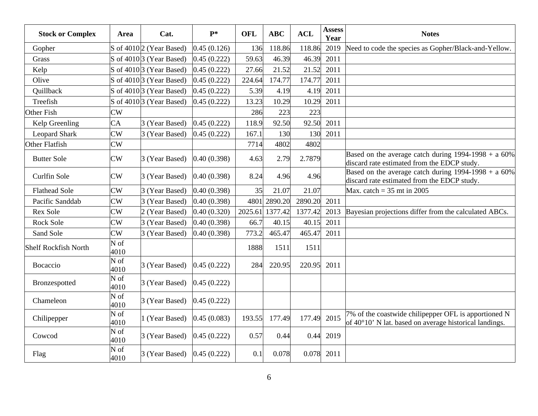| <b>Stock or Complex</b>     | Area                   | Cat.                            | $P*$        | <b>OFL</b> | <b>ABC</b> | <b>ACL</b> | <b>Assess</b><br>Year | <b>Notes</b>                                                                                                           |
|-----------------------------|------------------------|---------------------------------|-------------|------------|------------|------------|-----------------------|------------------------------------------------------------------------------------------------------------------------|
| Gopher                      |                        | S of $4010\vert2$ (Year Based)  | 0.45(0.126) | 136        | 118.86     | 118.86     | 2019                  | Need to code the species as Gopher/Black-and-Yellow.                                                                   |
| Grass                       |                        | S of 4010 3 (Year Based)        | 0.45(0.222) | 59.63      | 46.39      | 46.39      | 2011                  |                                                                                                                        |
| Kelp                        |                        | S of $4010\vert 3$ (Year Based) | 0.45(0.222) | 27.66      | 21.52      | 21.52      | 2011                  |                                                                                                                        |
| Olive                       |                        | S of 4010 3 (Year Based)        | 0.45(0.222) | 224.64     | 174.77     | 174.77     | 2011                  |                                                                                                                        |
| Quillback                   |                        | S of $4010 3$ (Year Based)      | 0.45(0.222) | 5.39       | 4.19       | 4.19       | 2011                  |                                                                                                                        |
| Treefish                    |                        | S of $4010\vert 3$ (Year Based) | 0.45(0.222) | 13.23      | 10.29      | 10.29      | 2011                  |                                                                                                                        |
| <b>Other Fish</b>           | CW                     |                                 |             | 286        | 223        | 223        |                       |                                                                                                                        |
| Kelp Greenling              | <b>CA</b>              | 3 (Year Based)                  | 0.45(0.222) | 118.9      | 92.50      | 92.50      | 2011                  |                                                                                                                        |
| <b>Leopard Shark</b>        | CW                     | 3 (Year Based)                  | 0.45(0.222) | 167.1      | 130        | 130        | 2011                  |                                                                                                                        |
| <b>Other Flatfish</b>       | CW                     |                                 |             | 7714       | 4802       | 4802       |                       |                                                                                                                        |
| <b>Butter Sole</b>          | CW                     | 3 (Year Based)                  | 0.40(0.398) | 4.63       | 2.79       | 2.7879     |                       | Based on the average catch during $1994-1998 + a 60\%$<br>discard rate estimated from the EDCP study.                  |
| Curlfin Sole                | CW                     | 3 (Year Based)                  | 0.40(0.398) | 8.24       | 4.96       | 4.96       |                       | Based on the average catch during $\frac{1994-1998 + a}{1994-1998 + a}$<br>discard rate estimated from the EDCP study. |
| <b>Flathead Sole</b>        | CW                     | 3 (Year Based)                  | 0.40(0.398) | 35         | 21.07      | 21.07      |                       | Max. catch = $35$ mt in 2005                                                                                           |
| Pacific Sanddab             | $\overline{\text{CW}}$ | 3 (Year Based)                  | 0.40(0.398) | 4801       | 2890.20    | 2890.20    | 2011                  |                                                                                                                        |
| <b>Rex Sole</b>             | CW                     | 2 (Year Based)                  | 0.40(0.320) | 2025.61    | 1377.42    | 1377.42    | 2013                  | Bayesian projections differ from the calculated ABCs.                                                                  |
| Rock Sole                   | CW                     | 3 (Year Based)                  | 0.40(0.398) | 66.7       | 40.15      | 40.15      | 2011                  |                                                                                                                        |
| Sand Sole                   | CW                     | 3 (Year Based)                  | 0.40(0.398) | 773.2      | 465.47     | 465.47     | 2011                  |                                                                                                                        |
| <b>Shelf Rockfish North</b> | N of<br>4010           |                                 |             | 1888       | 1511       | 1511       |                       |                                                                                                                        |
| Bocaccio                    | N of<br>4010           | 3 (Year Based)                  | 0.45(0.222) | 284        | 220.95     | 220.95     | 2011                  |                                                                                                                        |
| Bronzespotted               | N of<br>4010           | 3 (Year Based)                  | 0.45(0.222) |            |            |            |                       |                                                                                                                        |
| Chameleon                   | N of<br>4010           | 3 (Year Based)                  | 0.45(0.222) |            |            |            |                       |                                                                                                                        |
| Chilipepper                 | N of<br>4010           | 1 (Year Based)                  | 0.45(0.083) | 193.55     | 177.49     | 177.49     | 2015                  | 7% of the coastwide chilipepper OFL is apportioned N<br>of 40°10' N lat. based on average historical landings.         |
| Cowcod                      | N of<br>4010           | 3 (Year Based)                  | 0.45(0.222) | 0.57       | 0.44       | 0.44       | 2019                  |                                                                                                                        |
| Flag                        | N of<br>4010           | 3 (Year Based)                  | 0.45(0.222) | 0.1        | 0.078      | 0.078      | 2011                  |                                                                                                                        |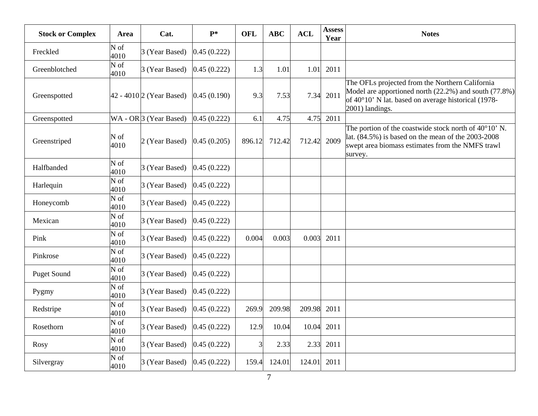| <b>Stock or Complex</b> | Area                               | Cat.                        | $P*$        | <b>OFL</b> | <b>ABC</b> | <b>ACL</b> | <b>Assess</b><br>Year | <b>Notes</b>                                                                                                                                                                           |
|-------------------------|------------------------------------|-----------------------------|-------------|------------|------------|------------|-----------------------|----------------------------------------------------------------------------------------------------------------------------------------------------------------------------------------|
| Freckled                | N of<br>4010                       | 3 (Year Based)              | 0.45(0.222) |            |            |            |                       |                                                                                                                                                                                        |
| Greenblotched           | $\overline{N \text{ of }}$<br>4010 | 3 (Year Based)              | 0.45(0.222) | 1.3        | 1.01       | 1.01       | 2011                  |                                                                                                                                                                                        |
| Greenspotted            |                                    | $ 42 - 4010 2$ (Year Based) | 0.45(0.190) | 9.3        | 7.53       | 7.34       | 2011                  | The OFLs projected from the Northern California<br>Model are apportioned north (22.2%) and south (77.8%)<br>of 40°10' N lat. based on average historical (1978-<br>2001) landings.     |
| Greenspotted            |                                    | $WA - OR$ 3 (Year Based)    | 0.45(0.222) | 6.1        | 4.75       |            | 4.75 2011             |                                                                                                                                                                                        |
| Greenstriped            | N of<br>4010                       | 2 (Year Based)              | 0.45(0.205) | 896.12     | 712.42     | 712.42     | 2009                  | The portion of the coastwide stock north of $40^{\circ}10'$ N.<br>lat. $(84.5\%)$ is based on the mean of the 2003-2008<br>swept area biomass estimates from the NMFS trawl<br>survey. |
| Halfbanded              | N of<br>4010                       | 3 (Year Based)              | 0.45(0.222) |            |            |            |                       |                                                                                                                                                                                        |
| Harlequin               | $\overline{\text{N of}}$<br>4010   | 3 (Year Based)              | 0.45(0.222) |            |            |            |                       |                                                                                                                                                                                        |
| Honeycomb               | N of<br>4010                       | 3 (Year Based)              | 0.45(0.222) |            |            |            |                       |                                                                                                                                                                                        |
| Mexican                 | $\overline{\text{N of}}$<br>4010   | 3 (Year Based)              | 0.45(0.222) |            |            |            |                       |                                                                                                                                                                                        |
| Pink                    | N of<br>4010                       | 3 (Year Based)              | 0.45(0.222) | 0.004      | 0.003      | 0.003      | 2011                  |                                                                                                                                                                                        |
| Pinkrose                | N of<br>4010                       | 3 (Year Based)              | 0.45(0.222) |            |            |            |                       |                                                                                                                                                                                        |
| <b>Puget Sound</b>      | $\overline{\text{N of}}$<br>4010   | 3 (Year Based)              | 0.45(0.222) |            |            |            |                       |                                                                                                                                                                                        |
| Pygmy                   | N of<br>4010                       | 3 (Year Based)              | 0.45(0.222) |            |            |            |                       |                                                                                                                                                                                        |
| Redstripe               | N of<br>4010                       | 3 (Year Based)              | 0.45(0.222) | 269.9      | 209.98     | 209.98     | 2011                  |                                                                                                                                                                                        |
| Rosethorn               | N of<br>4010                       | 3 (Year Based)              | 0.45(0.222) | 12.9       | 10.04      | 10.04      | 2011                  |                                                                                                                                                                                        |
| <b>Rosy</b>             | N of<br>4010                       | 3 (Year Based)              | 0.45(0.222) |            | 2.33       | 2.33       | 2011                  |                                                                                                                                                                                        |
| Silvergray              | N of<br>4010                       | 3 (Year Based)              | 0.45(0.222) | 159.4      | 124.01     | 124.01     | 2011                  |                                                                                                                                                                                        |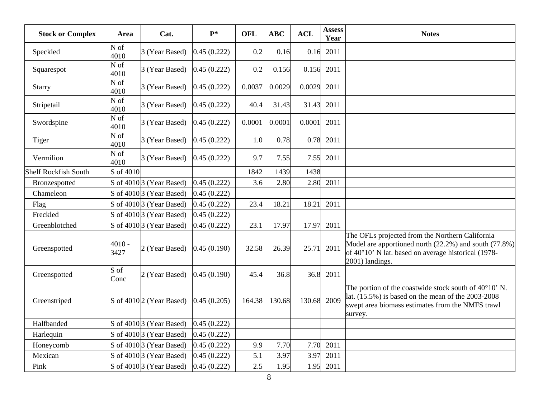| <b>Stock or Complex</b>     | Area                               | Cat.                                     | $P*$        | <b>OFL</b> | <b>ABC</b> | <b>ACL</b> | <b>Assess</b><br>Year | <b>Notes</b>                                                                                                                                                                             |
|-----------------------------|------------------------------------|------------------------------------------|-------------|------------|------------|------------|-----------------------|------------------------------------------------------------------------------------------------------------------------------------------------------------------------------------------|
| Speckled                    | N of<br>4010                       | 3 (Year Based)                           | 0.45(0.222) | 0.2        | 0.16       | 0.16       | 2011                  |                                                                                                                                                                                          |
| Squarespot                  | N of<br>4010                       | 3 (Year Based)                           | 0.45(0.222) | 0.2        | 0.156      | 0.156      | 2011                  |                                                                                                                                                                                          |
| <b>Starry</b>               | N of<br>4010                       | 3 (Year Based)                           | 0.45(0.222) | 0.0037     | 0.0029     | 0.0029     | 2011                  |                                                                                                                                                                                          |
| Stripetail                  | N of<br>4010                       | 3 (Year Based)                           | 0.45(0.222) | 40.4       | 31.43      | 31.43      | 2011                  |                                                                                                                                                                                          |
| Swordspine                  | N of<br>4010                       | 3 (Year Based)                           | 0.45(0.222) | 0.0001     | 0.0001     | 0.0001     | 2011                  |                                                                                                                                                                                          |
| Tiger                       | $\overline{\mathbf{N}}$ of<br>4010 | 3 (Year Based)                           | 0.45(0.222) | 1.0        | 0.78       | 0.78       | 2011                  |                                                                                                                                                                                          |
| Vermilion                   | N of<br>4010                       | 3 (Year Based)                           | 0.45(0.222) | 9.7        | 7.55       | 7.55       | 2011                  |                                                                                                                                                                                          |
| <b>Shelf Rockfish South</b> | S of 4010                          |                                          |             | 1842       | 1439       | 1438       |                       |                                                                                                                                                                                          |
| Bronzespotted               |                                    | S of $4010\vert 3$ (Year Based)          | 0.45(0.222) | 3.6        | 2.80       | 2.80       | 2011                  |                                                                                                                                                                                          |
| Chameleon                   |                                    | $\vert$ S of 4010 $\vert$ 3 (Year Based) | 0.45(0.222) |            |            |            |                       |                                                                                                                                                                                          |
| Flag                        |                                    | S of 4010 3 (Year Based)                 | 0.45(0.222) | 23.4       | 18.21      | 18.21      | 2011                  |                                                                                                                                                                                          |
| Freckled                    |                                    | S of 4010 3 (Year Based)                 | 0.45(0.222) |            |            |            |                       |                                                                                                                                                                                          |
| Greenblotched               |                                    | S of 4010 3 (Year Based)                 | 0.45(0.222) | 23.1       | 17.97      | 17.97      | 2011                  |                                                                                                                                                                                          |
| Greenspotted                | $4010 -$<br>3427                   | 2 (Year Based)                           | 0.45(0.190) | 32.58      | 26.39      | 25.71      | 2011                  | The OFLs projected from the Northern California<br>Model are apportioned north $(22.2\%)$ and south $(77.8\%)$<br>of 40°10' N lat. based on average historical (1978-<br>2001) landings. |
| Greenspotted                | S of<br>Conc                       | 2 (Year Based)                           | 0.45(0.190) | 45.4       | 36.8       | 36.8       | 2011                  |                                                                                                                                                                                          |
| Greenstriped                |                                    | S of 4010 <sup>2</sup> (Year Based)      | 0.45(0.205) | 164.38     | 130.68     | 130.68     | 2009                  | The portion of the coastwide stock south of $40^{\circ}10'$ N.<br>lat. $(15.5\%)$ is based on the mean of the 2003-2008<br>swept area biomass estimates from the NMFS trawl<br>survey.   |
| Halfbanded                  |                                    | S of 4010 3 (Year Based)                 | 0.45(0.222) |            |            |            |                       |                                                                                                                                                                                          |
| Harlequin                   |                                    | S of 4010 3 (Year Based)                 | 0.45(0.222) |            |            |            |                       |                                                                                                                                                                                          |
| Honeycomb                   |                                    | S of 4010 3 (Year Based)                 | 0.45(0.222) | 9.9        | 7.70       | 7.70       | 2011                  |                                                                                                                                                                                          |
| Mexican                     |                                    | S of 4010 <sup>3</sup> (Year Based)      | 0.45(0.222) | 5.1        | 3.97       | 3.97       | 2011                  |                                                                                                                                                                                          |
| Pink                        |                                    | S of $4010\vert 3$ (Year Based)          | 0.45(0.222) | 2.5        | 1.95       | 1.95       | 2011                  |                                                                                                                                                                                          |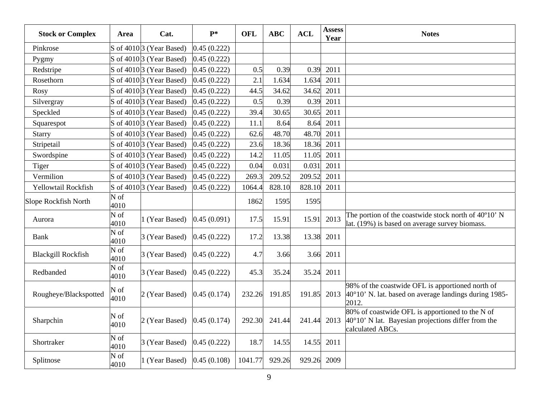| <b>Stock or Complex</b>   | Area         | Cat.                                 | $P*$        | <b>OFL</b> | <b>ABC</b> | <b>ACL</b> | <b>Assess</b><br>Year | <b>Notes</b>                                                                                                                       |
|---------------------------|--------------|--------------------------------------|-------------|------------|------------|------------|-----------------------|------------------------------------------------------------------------------------------------------------------------------------|
| Pinkrose                  |              | S of $4010\vert 3$ (Year Based)      | 0.45(0.222) |            |            |            |                       |                                                                                                                                    |
| Pygmy                     |              | S of 4010 3 (Year Based)             | 0.45(0.222) |            |            |            |                       |                                                                                                                                    |
| Redstripe                 |              | S of $4010\vert 3$ (Year Based)      | 0.45(0.222) | 0.5        | 0.39       | 0.39       | 2011                  |                                                                                                                                    |
| Rosethorn                 |              | S of $4010\vert 3$ (Year Based)      | 0.45(0.222) | 2.1        | 1.634      | 1.634      | 2011                  |                                                                                                                                    |
| Rosy                      |              | S of 4010 3 (Year Based)             | 0.45(0.222) | 44.5       | 34.62      | 34.62      | 2011                  |                                                                                                                                    |
| Silvergray                |              | S of 4010 3 (Year Based)             | 0.45(0.222) | 0.5        | 0.39       | 0.39       | 2011                  |                                                                                                                                    |
| Speckled                  |              | S of $4010\vert 3$ (Year Based)      | 0.45(0.222) | 39.4       | 30.65      | 30.65      | 2011                  |                                                                                                                                    |
| Squarespot                |              | S of 4010 3 (Year Based)             | 0.45(0.222) | 11.1       | 8.64       | 8.64       | 2011                  |                                                                                                                                    |
| <b>Starry</b>             |              | S of 4010 3 (Year Based)             | 0.45(0.222) | 62.6       | 48.70      | 48.70      | 2011                  |                                                                                                                                    |
| Stripetail                |              | S of $4010\vert 3$ (Year Based)      | 0.45(0.222) | 23.6       | 18.36      | 18.36      | 2011                  |                                                                                                                                    |
| Swordspine                |              | S of $4010\overline{3}$ (Year Based) | 0.45(0.222) | 14.2       | 11.05      | 11.05      | 2011                  |                                                                                                                                    |
| Tiger                     |              | S of 4010 3 (Year Based)             | 0.45(0.222) | 0.04       | 0.031      | 0.031      | 2011                  |                                                                                                                                    |
| Vermilion                 |              | S of $4010\vert 3$ (Year Based)      | 0.45(0.222) | 269.3      | 209.52     | 209.52     | 2011                  |                                                                                                                                    |
| Yellowtail Rockfish       |              | S of $4010 3$ (Year Based)           | 0.45(0.222) | 1064.4     | 828.10     | 828.10     | 2011                  |                                                                                                                                    |
| Slope Rockfish North      | N of<br>4010 |                                      |             | 1862       | 1595       | 1595       |                       |                                                                                                                                    |
| Aurora                    | N of<br>4010 | 1 (Year Based)                       | 0.45(0.091) | 17.5       | 15.91      | 15.91      | 2013                  | The portion of the coastwide stock north of 40°10' N<br>lat. (19%) is based on average survey biomass.                             |
| Bank                      | N of<br>4010 | 3 (Year Based)                       | 0.45(0.222) | 17.2       | 13.38      | 13.38      | 2011                  |                                                                                                                                    |
| <b>Blackgill Rockfish</b> | N of<br>4010 | 3 (Year Based)                       | 0.45(0.222) | 4.7        | 3.66       | 3.66       | 2011                  |                                                                                                                                    |
| Redbanded                 | N of<br>4010 | 3 (Year Based)                       | 0.45(0.222) | 45.3       | 35.24      | 35.24      | 2011                  |                                                                                                                                    |
| Rougheye/Blackspotted     | N of<br>4010 | 2 (Year Based)                       | 0.45(0.174) | 232.26     | 191.85     | 191.85     | 2013                  | 98% of the coastwide OFL is apportioned north of<br>$40^{\circ}10'$ N. lat. based on average landings during 1985-<br>2012.        |
| Sharpchin                 | N of<br>4010 | 2 (Year Based)                       | 0.45(0.174) | 292.30     | 241.44     | 241.44     | 2013                  | 80% of coastwide OFL is apportioned to the N of<br>$40^{\circ}10'$ N lat. Bayesian projections differ from the<br>calculated ABCs. |
| Shortraker                | N of<br>4010 | 3 (Year Based)                       | 0.45(0.222) | 18.7       | 14.55      | 14.55      | 2011                  |                                                                                                                                    |
| Splitnose                 | N of<br>4010 | 1 (Year Based)                       | 0.45(0.108) | 1041.77    | 929.26     | 929.26     | 2009                  |                                                                                                                                    |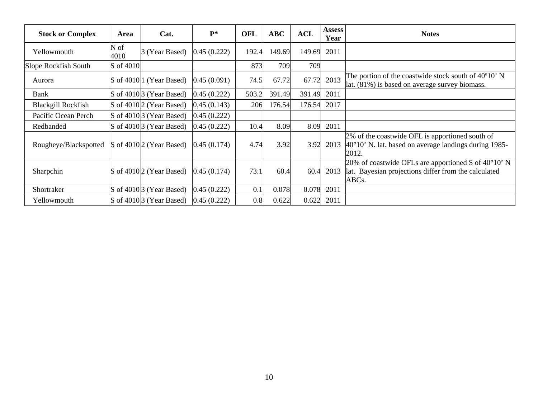| <b>Stock or Complex</b>   | Area         | Cat.                                     | $P*$        | <b>OFL</b> | <b>ABC</b> | <b>ACL</b> | <b>Assess</b><br>Year | <b>Notes</b>                                                                                                                      |
|---------------------------|--------------|------------------------------------------|-------------|------------|------------|------------|-----------------------|-----------------------------------------------------------------------------------------------------------------------------------|
| Yellowmouth               | N of<br>4010 | 3 (Year Based)                           | 0.45(0.222) | 192.4      | 149.69     | 149.69     | 2011                  |                                                                                                                                   |
| Slope Rockfish South      | S of 4010    |                                          |             | 873        | 709        | 709        |                       |                                                                                                                                   |
| Aurora                    |              | $\vert$ S of 4010 $\vert$ 1 (Year Based) | 0.45(0.091) | 74.5       | 67.72      |            | 67.72 2013            | The portion of the coastwide stock south of 40°10' N<br>$\mu$ lat. (81%) is based on average survey biomass.                      |
| Bank                      |              | S of 4010 <sup>[3</sup> (Year Based)     | 0.45(0.222) | 503.2      | 391.49     | 391.49     | 2011                  |                                                                                                                                   |
| <b>Blackgill Rockfish</b> |              | S of $4010 2$ (Year Based)               | 0.45(0.143) | 206        | 176.54     | 176.54     | 2017                  |                                                                                                                                   |
| Pacific Ocean Perch       |              | S of $4010 3$ (Year Based)               | 0.45(0.222) |            |            |            |                       |                                                                                                                                   |
| Redbanded                 |              | S of $4010\vert 3$ (Year Based)          | 0.45(0.222) | 10.4       | 8.09       | 8.09       | 2011                  |                                                                                                                                   |
| Rougheye/Blackspotted     |              | $\vert$ S of 4010 $\vert$ 2 (Year Based) | 0.45(0.174) | 4.74       | 3.92       | 3.92       |                       | 2% of the coastwide OFL is apportioned south of<br>2013 $ 40^{\circ}10$ ' N. lat. based on average landings during 1985-<br>2012. |
| Sharpchin                 |              | S of $4010 2$ (Year Based)               | 0.45(0.174) | 73.1       | 60.4       | 60.4       | 2013                  | 20% of coastwide OFLs are apportioned S of $40^{\circ}10'$ N<br>lat. Bayesian projections differ from the calculated<br>ABCs.     |
| Shortraker                |              | S of $4010\vert 3$ (Year Based)          | 0.45(0.222) | 0.1        | 0.078      | 0.078      | 2011                  |                                                                                                                                   |
| Yellowmouth               |              | S of $4010 3$ (Year Based)               | 0.45(0.222) | 0.8        | 0.622      | 0.622      | 2011                  |                                                                                                                                   |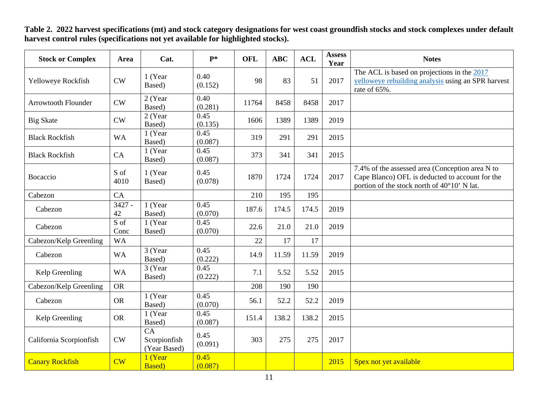| <b>Stock or Complex</b>    | Area           | Cat.                               | $P*$            | <b>OFL</b> | <b>ABC</b> | <b>ACL</b> | <b>Assess</b><br>Year | <b>Notes</b>                                                                                                                                      |
|----------------------------|----------------|------------------------------------|-----------------|------------|------------|------------|-----------------------|---------------------------------------------------------------------------------------------------------------------------------------------------|
| Yelloweye Rockfish         | <b>CW</b>      | 1 (Year<br>Based)                  | 0.40<br>(0.152) | 98         | 83         | 51         | 2017                  | The ACL is based on projections in the 2017<br>yelloweye rebuilding analysis using an SPR harvest<br>rate of 65%.                                 |
| <b>Arrowtooth Flounder</b> | CW             | 2 (Year<br>Based)                  | 0.40<br>(0.281) | 11764      | 8458       | 8458       | 2017                  |                                                                                                                                                   |
| <b>Big Skate</b>           | <b>CW</b>      | 2 (Year<br>Based)                  | 0.45<br>(0.135) | 1606       | 1389       | 1389       | 2019                  |                                                                                                                                                   |
| <b>Black Rockfish</b>      | <b>WA</b>      | 1 (Year<br>Based)                  | 0.45<br>(0.087) | 319        | 291        | 291        | 2015                  |                                                                                                                                                   |
| <b>Black Rockfish</b>      | CA             | 1 (Year)<br>Based)                 | 0.45<br>(0.087) | 373        | 341        | 341        | 2015                  |                                                                                                                                                   |
| Bocaccio                   | S of<br>4010   | 1 (Year<br>Based)                  | 0.45<br>(0.078) | 1870       | 1724       | 1724       | 2017                  | 7.4% of the assessed area (Conception area N to<br>Cape Blanco) OFL is deducted to account for the<br>portion of the stock north of 40°10' N lat. |
| Cabezon                    | CA             |                                    |                 | 210        | 195        | 195        |                       |                                                                                                                                                   |
| Cabezon                    | $3427 -$<br>42 | 1 (Year<br>Based)                  | 0.45<br>(0.070) | 187.6      | 174.5      | 174.5      | 2019                  |                                                                                                                                                   |
| Cabezon                    | S of<br>Conc   | 1 (Year<br>Based)                  | 0.45<br>(0.070) | 22.6       | 21.0       | 21.0       | 2019                  |                                                                                                                                                   |
| Cabezon/Kelp Greenling     | <b>WA</b>      |                                    |                 | 22         | 17         | 17         |                       |                                                                                                                                                   |
| Cabezon                    | <b>WA</b>      | 3 (Year<br>Based)                  | 0.45<br>(0.222) | 14.9       | 11.59      | 11.59      | 2019                  |                                                                                                                                                   |
| Kelp Greenling             | <b>WA</b>      | 3 (Year<br>Based)                  | 0.45<br>(0.222) | 7.1        | 5.52       | 5.52       | 2015                  |                                                                                                                                                   |
| Cabezon/Kelp Greenling     | <b>OR</b>      |                                    |                 | 208        | 190        | 190        |                       |                                                                                                                                                   |
| Cabezon                    | <b>OR</b>      | 1 (Year<br>Based)                  | 0.45<br>(0.070) | 56.1       | 52.2       | 52.2       | 2019                  |                                                                                                                                                   |
| Kelp Greenling             | <b>OR</b>      | 1 (Year<br>Based)                  | 0.45<br>(0.087) | 151.4      | 138.2      | 138.2      | 2015                  |                                                                                                                                                   |
| California Scorpionfish    | <b>CW</b>      | CA<br>Scorpionfish<br>(Year Based) | 0.45<br>(0.091) | 303        | 275        | 275        | 2017                  |                                                                                                                                                   |
| <b>Canary Rockfish</b>     | CW             | 1 (Year<br><b>Based</b> )          | 0.45<br>(0.087) |            |            |            | 2015                  | Spex not yet available                                                                                                                            |

**Table 2. 2022 harvest specifications (mt) and stock category designations for west coast groundfish stocks and stock complexes under default harvest control rules (specifications not yet available for highlighted stocks).**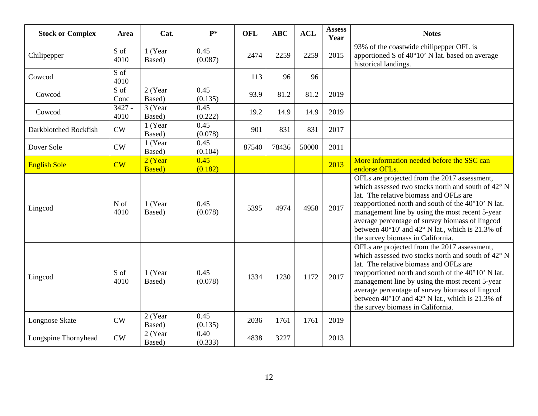| <b>Stock or Complex</b> | Area                           | Cat.                      | $P*$            | <b>OFL</b> | <b>ABC</b> | <b>ACL</b> | <b>Assess</b><br>Year | <b>Notes</b>                                                                                                                                                                                                                                                                                                                                                                                                        |
|-------------------------|--------------------------------|---------------------------|-----------------|------------|------------|------------|-----------------------|---------------------------------------------------------------------------------------------------------------------------------------------------------------------------------------------------------------------------------------------------------------------------------------------------------------------------------------------------------------------------------------------------------------------|
| Chilipepper             | S of<br>4010                   | 1 (Year<br>Based)         | 0.45<br>(0.087) | 2474       | 2259       | 2259       | 2015                  | 93% of the coastwide chilipepper OFL is<br>apportioned S of 40°10' N lat. based on average<br>historical landings.                                                                                                                                                                                                                                                                                                  |
| Cowcod                  | S of<br>4010                   |                           |                 | 113        | 96         | 96         |                       |                                                                                                                                                                                                                                                                                                                                                                                                                     |
| Cowcod                  | $\overline{S \circ f}$<br>Conc | $2$ (Year<br>Based)       | 0.45<br>(0.135) | 93.9       | 81.2       | 81.2       | 2019                  |                                                                                                                                                                                                                                                                                                                                                                                                                     |
| Cowcod                  | $3427 -$<br>4010               | 3 (Year<br>Based)         | 0.45<br>(0.222) | 19.2       | 14.9       | 14.9       | 2019                  |                                                                                                                                                                                                                                                                                                                                                                                                                     |
| Darkblotched Rockfish   | CW                             | 1 (Year<br>Based)         | 0.45<br>(0.078) | 901        | 831        | 831        | 2017                  |                                                                                                                                                                                                                                                                                                                                                                                                                     |
| Dover Sole              | CW                             | 1 (Year<br>Based)         | 0.45<br>(0.104) | 87540      | 78436      | 50000      | 2011                  |                                                                                                                                                                                                                                                                                                                                                                                                                     |
| <b>English Sole</b>     | CW                             | 2 (Year<br><b>Based</b> ) | 0.45<br>(0.182) |            |            |            | 2013                  | More information needed before the SSC can<br>endorse OFLs.                                                                                                                                                                                                                                                                                                                                                         |
| Lingcod                 | N of<br>4010                   | 1 (Year<br>Based)         | 0.45<br>(0.078) | 5395       | 4974       | 4958       | 2017                  | OFLs are projected from the 2017 assessment,<br>which assessed two stocks north and south of 42° N<br>lat. The relative biomass and OFLs are<br>reapportioned north and south of the 40°10' N lat.<br>management line by using the most recent 5-year<br>average percentage of survey biomass of lingcod<br>between $40^{\circ}10'$ and $42^{\circ}$ N lat., which is 21.3% of<br>the survey biomass in California. |
| Lingcod                 | S of<br>4010                   | 1 (Year<br>Based)         | 0.45<br>(0.078) | 1334       | 1230       | 1172       | 2017                  | OFLs are projected from the 2017 assessment,<br>which assessed two stocks north and south of 42° N<br>lat. The relative biomass and OFLs are<br>reapportioned north and south of the 40°10' N lat.<br>management line by using the most recent 5-year<br>average percentage of survey biomass of lingcod<br>between $40^{\circ}10'$ and $42^{\circ}$ N lat., which is 21.3% of<br>the survey biomass in California. |
| Longnose Skate          | CW                             | 2 (Year<br>Based)         | 0.45<br>(0.135) | 2036       | 1761       | 1761       | 2019                  |                                                                                                                                                                                                                                                                                                                                                                                                                     |
| Longspine Thornyhead    | CW                             | 2 (Year<br>Based)         | 0.40<br>(0.333) | 4838       | 3227       |            | 2013                  |                                                                                                                                                                                                                                                                                                                                                                                                                     |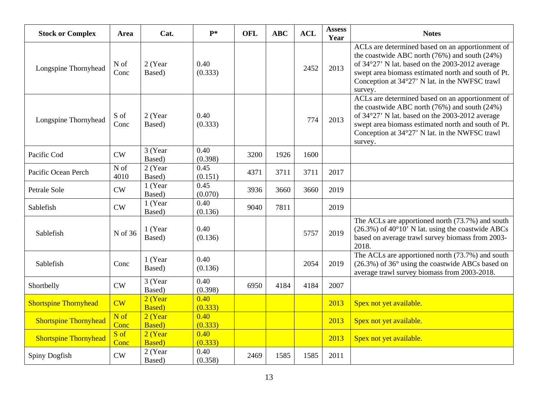| <b>Stock or Complex</b>      | Area         | Cat.                      | $P*$            | <b>OFL</b> | <b>ABC</b> | <b>ACL</b> | <b>Assess</b><br>Year | <b>Notes</b>                                                                                                                                                                                                                                                                 |
|------------------------------|--------------|---------------------------|-----------------|------------|------------|------------|-----------------------|------------------------------------------------------------------------------------------------------------------------------------------------------------------------------------------------------------------------------------------------------------------------------|
| Longspine Thornyhead         | N of<br>Conc | 2 (Year<br>Based)         | 0.40<br>(0.333) |            |            | 2452       | 2013                  | ACLs are determined based on an apportionment of<br>the coastwide ABC north $(76%)$ and south $(24%)$<br>of 34°27' N lat. based on the 2003-2012 average<br>swept area biomass estimated north and south of Pt.<br>Conception at 34°27' N lat. in the NWFSC trawl<br>survey. |
| Longspine Thornyhead         | S of<br>Conc | 2 (Year<br>Based)         | 0.40<br>(0.333) |            |            | 774        | 2013                  | ACLs are determined based on an apportionment of<br>the coastwide ABC north $(76%)$ and south $(24%)$<br>of 34°27' N lat. based on the 2003-2012 average<br>swept area biomass estimated north and south of Pt.<br>Conception at 34°27' N lat. in the NWFSC trawl<br>survey. |
| Pacific Cod                  | CW           | 3 (Year<br>Based)         | 0.40<br>(0.398) | 3200       | 1926       | 1600       |                       |                                                                                                                                                                                                                                                                              |
| Pacific Ocean Perch          | N of<br>4010 | 2 (Year<br>Based)         | 0.45<br>(0.151) | 4371       | 3711       | 3711       | 2017                  |                                                                                                                                                                                                                                                                              |
| Petrale Sole                 | CW           | 1 (Year<br>Based)         | 0.45<br>(0.070) | 3936       | 3660       | 3660       | 2019                  |                                                                                                                                                                                                                                                                              |
| Sablefish                    | CW           | 1 (Year<br>Based)         | 0.40<br>(0.136) | 9040       | 7811       |            | 2019                  |                                                                                                                                                                                                                                                                              |
| Sablefish                    | N of 36      | 1 (Year<br>Based)         | 0.40<br>(0.136) |            |            | 5757       | 2019                  | The ACLs are apportioned north (73.7%) and south<br>$(26.3\%)$ of 40°10' N lat. using the coastwide ABCs<br>based on average trawl survey biomass from 2003-<br>2018.                                                                                                        |
| Sablefish                    | Conc         | 1 (Year<br>Based)         | 0.40<br>(0.136) |            |            | 2054       | 2019                  | The ACLs are apportioned north (73.7%) and south<br>(26.3%) of 36° using the coastwide ABCs based on<br>average trawl survey biomass from 2003-2018.                                                                                                                         |
| Shortbelly                   | CW           | 3 (Year<br>Based)         | 0.40<br>(0.398) | 6950       | 4184       | 4184       | 2007                  |                                                                                                                                                                                                                                                                              |
| <b>Shortspine Thornyhead</b> | CW           | 2 (Year<br><b>Based</b> ) | 0.40<br>(0.333) |            |            |            | 2013                  | Spex not yet available.                                                                                                                                                                                                                                                      |
| <b>Shortspine Thornyhead</b> | N of<br>Conc | 2 (Year<br><b>Based</b> ) | 0.40<br>(0.333) |            |            |            | 2013                  | Spex not yet available.                                                                                                                                                                                                                                                      |
| <b>Shortspine Thornyhead</b> | S of<br>Conc | 2 (Year<br><b>Based</b> ) | 0.40<br>(0.333) |            |            |            | 2013                  | Spex not yet available.                                                                                                                                                                                                                                                      |
| Spiny Dogfish                | CW           | 2 (Year<br>Based)         | 0.40<br>(0.358) | 2469       | 1585       | 1585       | 2011                  |                                                                                                                                                                                                                                                                              |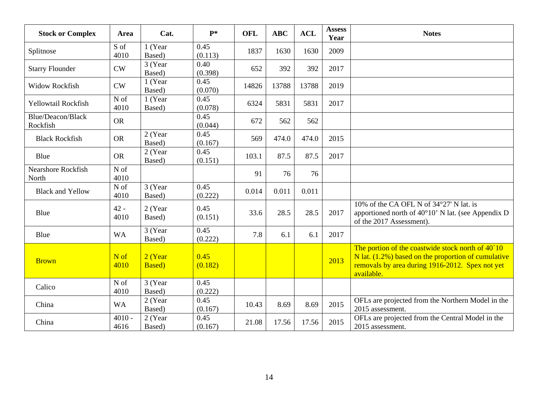| <b>Stock or Complex</b>            | Area             | Cat.                      | $P*$            | <b>OFL</b> | <b>ABC</b> | <b>ACL</b> | <b>Assess</b><br>Year | <b>Notes</b>                                                                                                                                                                 |
|------------------------------------|------------------|---------------------------|-----------------|------------|------------|------------|-----------------------|------------------------------------------------------------------------------------------------------------------------------------------------------------------------------|
| Splitnose                          | S of<br>4010     | 1 (Year<br>Based)         | 0.45<br>(0.113) | 1837       | 1630       | 1630       | 2009                  |                                                                                                                                                                              |
| <b>Starry Flounder</b>             | CW               | 3 (Year<br>Based)         | 0.40<br>(0.398) | 652        | 392        | 392        | 2017                  |                                                                                                                                                                              |
| <b>Widow Rockfish</b>              | CW               | (Year<br>Based)           | 0.45<br>(0.070) | 14826      | 13788      | 13788      | 2019                  |                                                                                                                                                                              |
| Yellowtail Rockfish                | N of<br>4010     | 1 (Year<br>Based)         | 0.45<br>(0.078) | 6324       | 5831       | 5831       | 2017                  |                                                                                                                                                                              |
| Blue/Deacon/Black<br>Rockfish      | <b>OR</b>        |                           | 0.45<br>(0.044) | 672        | 562        | 562        |                       |                                                                                                                                                                              |
| <b>Black Rockfish</b>              | <b>OR</b>        | 2 (Year<br>Based)         | 0.45<br>(0.167) | 569        | 474.0      | 474.0      | 2015                  |                                                                                                                                                                              |
| Blue                               | <b>OR</b>        | 2 (Year<br>Based)         | 0.45<br>(0.151) | 103.1      | 87.5       | 87.5       | 2017                  |                                                                                                                                                                              |
| <b>Nearshore Rockfish</b><br>North | N of<br>4010     |                           |                 | 91         | 76         | 76         |                       |                                                                                                                                                                              |
| <b>Black and Yellow</b>            | N of<br>4010     | 3 (Year<br>Based)         | 0.45<br>(0.222) | 0.014      | 0.011      | 0.011      |                       |                                                                                                                                                                              |
| Blue                               | $42 -$<br>4010   | 2 (Year<br>Based)         | 0.45<br>(0.151) | 33.6       | 28.5       | 28.5       | 2017                  | 10% of the CA OFL N of 34°27' N lat. is<br>apportioned north of 40°10' N lat. (see Appendix D<br>of the 2017 Assessment).                                                    |
| Blue                               | <b>WA</b>        | 3 (Year<br>Based)         | 0.45<br>(0.222) | 7.8        | 6.1        | 6.1        | 2017                  |                                                                                                                                                                              |
| <b>Brown</b>                       | N of<br>4010     | 2 (Year<br><b>Based</b> ) | 0.45<br>(0.182) |            |            |            | 2013                  | The portion of the coastwide stock north of 40 10<br>N lat. $(1.2\%)$ based on the proportion of cumulative<br>removals by area during 1916-2012. Spex not yet<br>available. |
| Calico                             | N of<br>4010     | 3 (Year<br>Based)         | 0.45<br>(0.222) |            |            |            |                       |                                                                                                                                                                              |
| China                              | <b>WA</b>        | 2 (Year<br>Based)         | 0.45<br>(0.167) | 10.43      | 8.69       | 8.69       | 2015                  | OFLs are projected from the Northern Model in the<br>2015 assessment.                                                                                                        |
| China                              | $4010 -$<br>4616 | 2 (Year<br>Based)         | 0.45<br>(0.167) | 21.08      | 17.56      | 17.56      | 2015                  | OFLs are projected from the Central Model in the<br>2015 assessment.                                                                                                         |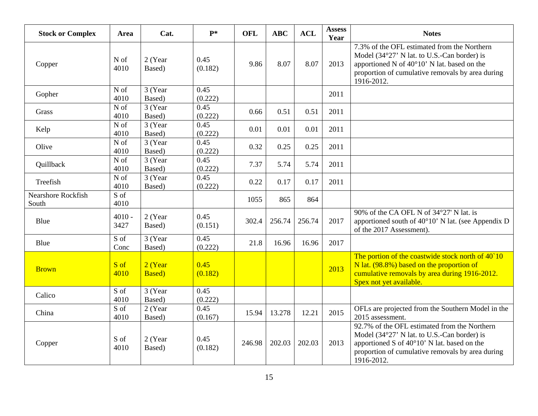| <b>Stock or Complex</b>            | Area                      | Cat.                      | $P^*$           | <b>OFL</b> | <b>ABC</b> | <b>ACL</b> | <b>Assess</b><br>Year | <b>Notes</b>                                                                                                                                                                                                         |
|------------------------------------|---------------------------|---------------------------|-----------------|------------|------------|------------|-----------------------|----------------------------------------------------------------------------------------------------------------------------------------------------------------------------------------------------------------------|
| Copper                             | N of<br>4010              | 2 (Year<br>Based)         | 0.45<br>(0.182) | 9.86       | 8.07       | 8.07       | 2013                  | 7.3% of the OFL estimated from the Northern<br>Model (34°27' N lat. to U.S.-Can border) is<br>apportioned N of $40^{\circ}10'$ N lat. based on the<br>proportion of cumulative removals by area during<br>1916-2012. |
| Gopher                             | N of<br>4010              | 3 (Year<br>Based)         | 0.45<br>(0.222) |            |            |            | 2011                  |                                                                                                                                                                                                                      |
| Grass                              | N of<br>4010              | 3 (Year<br>Based)         | 0.45<br>(0.222) | 0.66       | 0.51       | 0.51       | 2011                  |                                                                                                                                                                                                                      |
| Kelp                               | N of<br>4010              | 3 (Year<br>Based)         | 0.45<br>(0.222) | 0.01       | 0.01       | 0.01       | 2011                  |                                                                                                                                                                                                                      |
| Olive                              | N of<br>4010              | 3 (Year<br>Based)         | 0.45<br>(0.222) | 0.32       | 0.25       | 0.25       | 2011                  |                                                                                                                                                                                                                      |
| Quillback                          | N of<br>4010              | 3 (Year<br>Based)         | 0.45<br>(0.222) | 7.37       | 5.74       | 5.74       | 2011                  |                                                                                                                                                                                                                      |
| Treefish                           | N of<br>4010              | 3 (Year<br>Based)         | 0.45<br>(0.222) | 0.22       | 0.17       | 0.17       | 2011                  |                                                                                                                                                                                                                      |
| <b>Nearshore Rockfish</b><br>South | S of<br>4010              |                           |                 | 1055       | 865        | 864        |                       |                                                                                                                                                                                                                      |
| Blue                               | $4010 -$<br>3427          | 2 (Year<br>Based)         | 0.45<br>(0.151) | 302.4      | 256.74     | 256.74     | 2017                  | 90% of the CA OFL N of 34°27' N lat. is<br>apportioned south of $40^{\circ}10'$ N lat. (see Appendix D<br>of the 2017 Assessment).                                                                                   |
| Blue                               | $\overline{S}$ of<br>Conc | 3 (Year<br>Based)         | 0.45<br>(0.222) | 21.8       | 16.96      | 16.96      | 2017                  |                                                                                                                                                                                                                      |
| <b>Brown</b>                       | S of<br>4010              | 2 (Year<br><b>Based</b> ) | 0.45<br>(0.182) |            |            |            | 2013                  | The portion of the coastwide stock north of 40`10<br>N lat. (98.8%) based on the proportion of<br>cumulative removals by area during 1916-2012.<br>Spex not yet available.                                           |
| Calico                             | S of<br>4010              | 3 (Year<br>Based)         | 0.45<br>(0.222) |            |            |            |                       |                                                                                                                                                                                                                      |
| China                              | S of<br>4010              | 2 (Year<br>Based)         | 0.45<br>(0.167) | 15.94      | 13.278     | 12.21      | 2015                  | OFLs are projected from the Southern Model in the<br>2015 assessment.                                                                                                                                                |
| Copper                             | S of<br>4010              | 2 (Year<br>Based)         | 0.45<br>(0.182) | 246.98     | 202.03     | 202.03     | 2013                  | 92.7% of the OFL estimated from the Northern<br>Model (34°27' N lat. to U.S.-Can border) is<br>apportioned S of 40°10' N lat. based on the<br>proportion of cumulative removals by area during<br>1916-2012.         |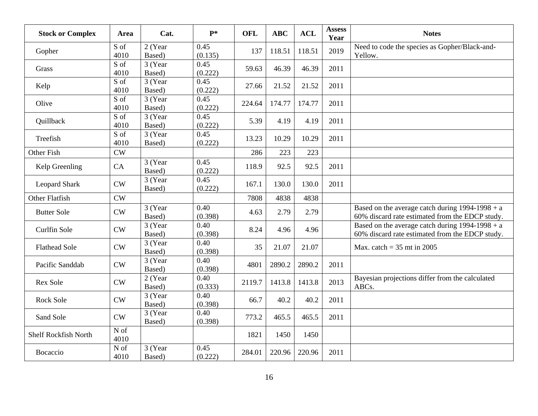| <b>Stock or Complex</b> | Area                      | Cat.              | $P*$            | <b>OFL</b> | <b>ABC</b> | <b>ACL</b> | <b>Assess</b><br>Year | <b>Notes</b>                                                                                         |
|-------------------------|---------------------------|-------------------|-----------------|------------|------------|------------|-----------------------|------------------------------------------------------------------------------------------------------|
| Gopher                  | S of<br>4010              | 2 (Year<br>Based) | 0.45<br>(0.135) | 137        | 118.51     | 118.51     | 2019                  | Need to code the species as Gopher/Black-and-<br>Yellow.                                             |
| Grass                   | $\overline{S}$ of<br>4010 | 3 (Year<br>Based) | 0.45<br>(0.222) | 59.63      | 46.39      | 46.39      | 2011                  |                                                                                                      |
| Kelp                    | S of<br>4010              | 3 (Year<br>Based) | 0.45<br>(0.222) | 27.66      | 21.52      | 21.52      | 2011                  |                                                                                                      |
| Olive                   | S of<br>4010              | 3 (Year<br>Based) | 0.45<br>(0.222) | 224.64     | 174.77     | 174.77     | 2011                  |                                                                                                      |
| Quillback               | S of<br>4010              | 3 (Year<br>Based) | 0.45<br>(0.222) | 5.39       | 4.19       | 4.19       | 2011                  |                                                                                                      |
| Treefish                | S of<br>4010              | 3 (Year<br>Based) | 0.45<br>(0.222) | 13.23      | 10.29      | 10.29      | 2011                  |                                                                                                      |
| Other Fish              | CW                        |                   |                 | 286        | 223        | 223        |                       |                                                                                                      |
| Kelp Greenling          | CA                        | 3 (Year<br>Based) | 0.45<br>(0.222) | 118.9      | 92.5       | 92.5       | 2011                  |                                                                                                      |
| <b>Leopard Shark</b>    | CW                        | 3 (Year<br>Based) | 0.45<br>(0.222) | 167.1      | 130.0      | 130.0      | 2011                  |                                                                                                      |
| <b>Other Flatfish</b>   | CW                        |                   |                 | 7808       | 4838       | 4838       |                       |                                                                                                      |
| <b>Butter Sole</b>      | ${\rm\bf CW}$             | 3 (Year<br>Based) | 0.40<br>(0.398) | 4.63       | 2.79       | 2.79       |                       | Based on the average catch during $1994-1998 + a$<br>60% discard rate estimated from the EDCP study. |
| Curlfin Sole            | CW                        | 3 (Year<br>Based) | 0.40<br>(0.398) | 8.24       | 4.96       | 4.96       |                       | Based on the average catch during $1994-1998 + a$<br>60% discard rate estimated from the EDCP study. |
| <b>Flathead Sole</b>    | CW                        | 3 (Year<br>Based) | 0.40<br>(0.398) | 35         | 21.07      | 21.07      |                       | Max. catch = $35$ mt in 2005                                                                         |
| Pacific Sanddab         | CW                        | 3 (Year<br>Based) | 0.40<br>(0.398) | 4801       | 2890.2     | 2890.2     | 2011                  |                                                                                                      |
| <b>Rex Sole</b>         | CW                        | 2 (Year<br>Based) | 0.40<br>(0.333) | 2119.7     | 1413.8     | 1413.8     | 2013                  | Bayesian projections differ from the calculated<br>ABCs.                                             |
| <b>Rock Sole</b>        | CW                        | 3 (Year<br>Based) | 0.40<br>(0.398) | 66.7       | 40.2       | 40.2       | 2011                  |                                                                                                      |
| Sand Sole               | CW                        | 3 (Year<br>Based) | 0.40<br>(0.398) | 773.2      | 465.5      | 465.5      | 2011                  |                                                                                                      |
| Shelf Rockfish North    | N of<br>4010              |                   |                 | 1821       | 1450       | 1450       |                       |                                                                                                      |
| Bocaccio                | N of<br>4010              | 3 (Year<br>Based) | 0.45<br>(0.222) | 284.01     | 220.96     | 220.96     | 2011                  |                                                                                                      |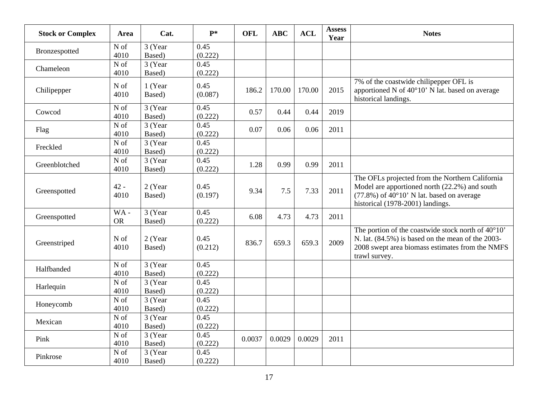| <b>Stock or Complex</b> | Area                      | Cat.               | $P*$            | <b>OFL</b> | <b>ABC</b> | <b>ACL</b> | <b>Assess</b><br>Year | <b>Notes</b>                                                                                                                                                                                  |
|-------------------------|---------------------------|--------------------|-----------------|------------|------------|------------|-----------------------|-----------------------------------------------------------------------------------------------------------------------------------------------------------------------------------------------|
| Bronzespotted           | N of<br>4010              | 3 (Year<br>Based)  | 0.45<br>(0.222) |            |            |            |                       |                                                                                                                                                                                               |
| Chameleon               | N of<br>4010              | 3 (Year<br>Based)  | 0.45<br>(0.222) |            |            |            |                       |                                                                                                                                                                                               |
| Chilipepper             | N of<br>4010              | 1 (Year<br>Based)  | 0.45<br>(0.087) | 186.2      | 170.00     | 170.00     | 2015                  | 7% of the coastwide chilipepper OFL is<br>apportioned N of 40°10' N lat. based on average<br>historical landings.                                                                             |
| Cowcod                  | N of<br>4010              | 3 (Year<br>Based)  | 0.45<br>(0.222) | 0.57       | 0.44       | 0.44       | 2019                  |                                                                                                                                                                                               |
| Flag                    | N of<br>4010              | 3 (Year<br>Based)  | 0.45<br>(0.222) | 0.07       | 0.06       | 0.06       | 2011                  |                                                                                                                                                                                               |
| Freckled                | N of<br>4010              | 3 (Year<br>Based)  | 0.45<br>(0.222) |            |            |            |                       |                                                                                                                                                                                               |
| Greenblotched           | N of<br>4010              | 3 (Year)<br>Based) | 0.45<br>(0.222) | 1.28       | 0.99       | 0.99       | 2011                  |                                                                                                                                                                                               |
| Greenspotted            | $42 -$<br>4010            | 2 (Year<br>Based)  | 0.45<br>(0.197) | 9.34       | 7.5        | 7.33       | 2011                  | The OFLs projected from the Northern California<br>Model are apportioned north (22.2%) and south<br>$(77.8\%)$ of $40^{\circ}10'$ N lat. based on average<br>historical (1978-2001) landings. |
| Greenspotted            | WA-<br><b>OR</b>          | 3 (Year<br>Based)  | 0.45<br>(0.222) | 6.08       | 4.73       | 4.73       | 2011                  |                                                                                                                                                                                               |
| Greenstriped            | N of<br>4010              | 2 (Year<br>Based)  | 0.45<br>(0.212) | 836.7      | 659.3      | 659.3      | 2009                  | The portion of the coastwide stock north of 40°10'<br>N. lat. (84.5%) is based on the mean of the 2003-<br>2008 swept area biomass estimates from the NMFS<br>trawl survey.                   |
| Halfbanded              | N of<br>4010              | 3 (Year<br>Based)  | 0.45<br>(0.222) |            |            |            |                       |                                                                                                                                                                                               |
| Harlequin               | N of<br>4010              | 3(Year)<br>Based)  | 0.45<br>(0.222) |            |            |            |                       |                                                                                                                                                                                               |
| Honeycomb               | N of<br>4010              | 3 (Year<br>Based)  | 0.45<br>(0.222) |            |            |            |                       |                                                                                                                                                                                               |
| Mexican                 | N of<br>4010              | 3 (Year<br>Based)  | 0.45<br>(0.222) |            |            |            |                       |                                                                                                                                                                                               |
| Pink                    | $\overline{N}$ of<br>4010 | 3 (Year<br>Based)  | 0.45<br>(0.222) | 0.0037     | 0.0029     | 0.0029     | 2011                  |                                                                                                                                                                                               |
| Pinkrose                | N of<br>4010              | 3 (Year<br>Based)  | 0.45<br>(0.222) |            |            |            |                       |                                                                                                                                                                                               |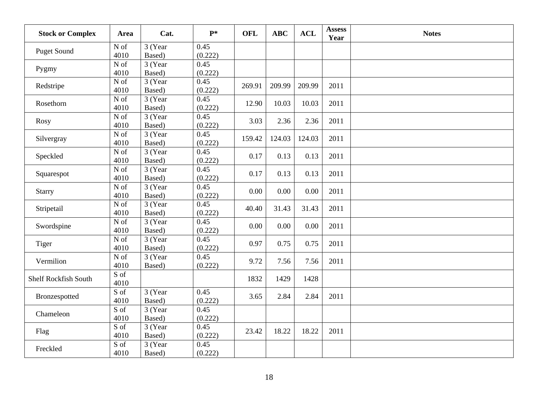| <b>Stock or Complex</b>     | Area                      | Cat.              | $P*$            | <b>OFL</b> | <b>ABC</b> | <b>ACL</b> | <b>Assess</b><br>Year | <b>Notes</b> |
|-----------------------------|---------------------------|-------------------|-----------------|------------|------------|------------|-----------------------|--------------|
| <b>Puget Sound</b>          | N of<br>4010              | 3 (Year<br>Based) | 0.45<br>(0.222) |            |            |            |                       |              |
| Pygmy                       | ${\rm N}$ of<br>4010      | 3 (Year<br>Based) | 0.45<br>(0.222) |            |            |            |                       |              |
| Redstripe                   | ${\rm N}$ of<br>4010      | 3 (Year<br>Based) | 0.45<br>(0.222) | 269.91     | 209.99     | 209.99     | 2011                  |              |
| Rosethorn                   | N of<br>4010              | 3 (Year<br>Based) | 0.45<br>(0.222) | 12.90      | 10.03      | 10.03      | 2011                  |              |
| <b>Rosy</b>                 | $\overline{N}$ of<br>4010 | 3 (Year<br>Based) | 0.45<br>(0.222) | 3.03       | 2.36       | 2.36       | 2011                  |              |
| Silvergray                  | N of<br>4010              | 3 (Year<br>Based) | 0.45<br>(0.222) | 159.42     | 124.03     | 124.03     | 2011                  |              |
| Speckled                    | N of<br>4010              | 3 (Year<br>Based) | 0.45<br>(0.222) | 0.17       | 0.13       | 0.13       | 2011                  |              |
| Squarespot                  | N of<br>4010              | 3 (Year<br>Based) | 0.45<br>(0.222) | 0.17       | 0.13       | 0.13       | 2011                  |              |
| Starry                      | N of<br>4010              | 3 (Year<br>Based) | 0.45<br>(0.222) | 0.00       | 0.00       | 0.00       | 2011                  |              |
| Stripetail                  | N of<br>4010              | 3 (Year<br>Based) | 0.45<br>(0.222) | 40.40      | 31.43      | 31.43      | 2011                  |              |
| Swordspine                  | N of<br>4010              | 3 (Year<br>Based) | 0.45<br>(0.222) | 0.00       | 0.00       | 0.00       | 2011                  |              |
| Tiger                       | N of<br>4010              | 3 (Year<br>Based) | 0.45<br>(0.222) | 0.97       | 0.75       | 0.75       | 2011                  |              |
| Vermilion                   | N of<br>4010              | 3 (Year<br>Based) | 0.45<br>(0.222) | 9.72       | 7.56       | 7.56       | 2011                  |              |
| <b>Shelf Rockfish South</b> | S of<br>4010              |                   |                 | 1832       | 1429       | 1428       |                       |              |
| Bronzespotted               | S of<br>4010              | 3 (Year<br>Based) | 0.45<br>(0.222) | 3.65       | 2.84       | 2.84       | 2011                  |              |
| Chameleon                   | $\overline{S}$ of<br>4010 | 3 (Year<br>Based) | 0.45<br>(0.222) |            |            |            |                       |              |
| Flag                        | $\overline{S}$ of<br>4010 | 3 (Year<br>Based) | 0.45<br>(0.222) | 23.42      | 18.22      | 18.22      | 2011                  |              |
| Freckled                    | $\overline{S}$ of<br>4010 | 3 (Year<br>Based) | 0.45<br>(0.222) |            |            |            |                       |              |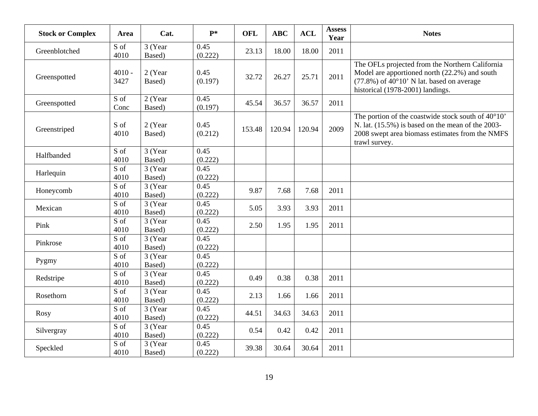| <b>Stock or Complex</b> | <b>Area</b>                    | Cat.                | $P*$            | <b>OFL</b> | <b>ABC</b> | <b>ACL</b> | <b>Assess</b><br>Year | <b>Notes</b>                                                                                                                                                                         |
|-------------------------|--------------------------------|---------------------|-----------------|------------|------------|------------|-----------------------|--------------------------------------------------------------------------------------------------------------------------------------------------------------------------------------|
| Greenblotched           | S of<br>4010                   | 3 (Year<br>Based)   | 0.45<br>(0.222) | 23.13      | 18.00      | 18.00      | 2011                  |                                                                                                                                                                                      |
| Greenspotted            | $4010 -$<br>3427               | 2 (Year<br>Based)   | 0.45<br>(0.197) | 32.72      | 26.27      | 25.71      | 2011                  | The OFLs projected from the Northern California<br>Model are apportioned north (22.2%) and south<br>$(77.8\%)$ of 40°10' N lat. based on average<br>historical (1978-2001) landings. |
| Greenspotted            | S of<br>Conc                   | $2$ (Year<br>Based) | 0.45<br>(0.197) | 45.54      | 36.57      | 36.57      | 2011                  |                                                                                                                                                                                      |
| Greenstriped            | S of<br>4010                   | 2 (Year<br>Based)   | 0.45<br>(0.212) | 153.48     | 120.94     | 120.94     | 2009                  | The portion of the coastwide stock south of 40°10'<br>N. lat. (15.5%) is based on the mean of the 2003-<br>2008 swept area biomass estimates from the NMFS<br>trawl survey.          |
| Halfbanded              | $S$ of<br>4010                 | 3 (Year<br>Based)   | 0.45<br>(0.222) |            |            |            |                       |                                                                                                                                                                                      |
| Harlequin               | S of<br>4010                   | 3 (Year<br>Based)   | 0.45<br>(0.222) |            |            |            |                       |                                                                                                                                                                                      |
| Honeycomb               | S of<br>4010                   | 3 (Year<br>Based)   | 0.45<br>(0.222) | 9.87       | 7.68       | 7.68       | 2011                  |                                                                                                                                                                                      |
| Mexican                 | S of<br>4010                   | 3 (Year<br>Based)   | 0.45<br>(0.222) | 5.05       | 3.93       | 3.93       | 2011                  |                                                                                                                                                                                      |
| Pink                    | S of<br>4010                   | 3 (Year<br>Based)   | 0.45<br>(0.222) | 2.50       | 1.95       | 1.95       | 2011                  |                                                                                                                                                                                      |
| Pinkrose                | S of<br>4010                   | 3 (Year<br>Based)   | 0.45<br>(0.222) |            |            |            |                       |                                                                                                                                                                                      |
| Pygmy                   | S of<br>4010                   | 3 (Year<br>Based)   | 0.45<br>(0.222) |            |            |            |                       |                                                                                                                                                                                      |
| Redstripe               | S of<br>4010                   | 3 (Year<br>Based)   | 0.45<br>(0.222) | 0.49       | 0.38       | 0.38       | 2011                  |                                                                                                                                                                                      |
| Rosethorn               | S of<br>4010                   | 3(Year)<br>Based)   | 0.45<br>(0.222) | 2.13       | 1.66       | 1.66       | 2011                  |                                                                                                                                                                                      |
| <b>Rosy</b>             | $\overline{S}$ of<br>4010      | 3 (Year<br>Based)   | 0.45<br>(0.222) | 44.51      | 34.63      | 34.63      | 2011                  |                                                                                                                                                                                      |
| Silvergray              | $\overline{S \circ f}$<br>4010 | 3 (Year<br>Based)   | 0.45<br>(0.222) | 0.54       | 0.42       | 0.42       | 2011                  |                                                                                                                                                                                      |
| Speckled                | S of<br>4010                   | 3 (Year<br>Based)   | 0.45<br>(0.222) | 39.38      | 30.64      | 30.64      | 2011                  |                                                                                                                                                                                      |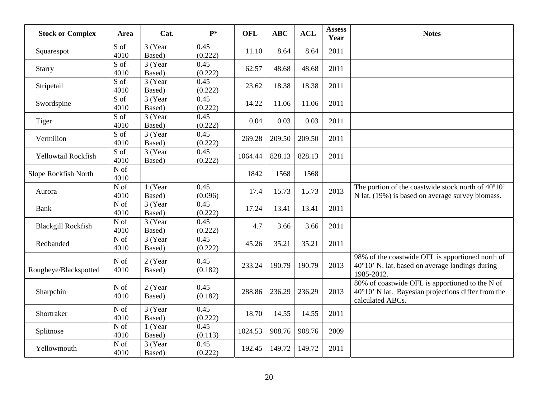| <b>Stock or Complex</b>   | Area                   | Cat.              | $P*$            | <b>OFL</b> | <b>ABC</b> | <b>ACL</b> | <b>Assess</b><br>Year | <b>Notes</b>                                                                                                               |
|---------------------------|------------------------|-------------------|-----------------|------------|------------|------------|-----------------------|----------------------------------------------------------------------------------------------------------------------------|
| Squarespot                | S of<br>4010           | 3 (Year<br>Based) | 0.45<br>(0.222) | 11.10      | 8.64       | 8.64       | 2011                  |                                                                                                                            |
| <b>Starry</b>             | S of<br>4010           | 3 (Year<br>Based) | 0.45<br>(0.222) | 62.57      | 48.68      | 48.68      | 2011                  |                                                                                                                            |
| Stripetail                | S of<br>4010           | 3 (Year<br>Based) | 0.45<br>(0.222) | 23.62      | 18.38      | 18.38      | 2011                  |                                                                                                                            |
| Swordspine                | S of<br>4010           | 3 (Year<br>Based) | 0.45<br>(0.222) | 14.22      | 11.06      | 11.06      | 2011                  |                                                                                                                            |
| Tiger                     | S of<br>4010           | 3 (Year<br>Based) | 0.45<br>(0.222) | 0.04       | 0.03       | 0.03       | 2011                  |                                                                                                                            |
| Vermilion                 | S of<br>4010           | 3 (Year<br>Based) | 0.45<br>(0.222) | 269.28     | 209.50     | 209.50     | 2011                  |                                                                                                                            |
| Yellowtail Rockfish       | S of<br>4010           | 3 (Year<br>Based) | 0.45<br>(0.222) | 1064.44    | 828.13     | 828.13     | 2011                  |                                                                                                                            |
| Slope Rockfish North      | N of<br>4010           |                   |                 | 1842       | 1568       | 1568       |                       |                                                                                                                            |
| Aurora                    | N of<br>4010           | 1 (Year<br>Based) | 0.45<br>(0.096) | 17.4       | 15.73      | 15.73      | 2013                  | The portion of the coastwide stock north of 40°10'<br>N lat. (19%) is based on average survey biomass.                     |
| <b>Bank</b>               | N of<br>4010           | 3 (Year<br>Based) | 0.45<br>(0.222) | 17.24      | 13.41      | 13.41      | 2011                  |                                                                                                                            |
| <b>Blackgill Rockfish</b> | N of<br>4010           | 3 (Year<br>Based) | 0.45<br>(0.222) | 4.7        | 3.66       | 3.66       | 2011                  |                                                                                                                            |
| Redbanded                 | $\mathbf N$ of<br>4010 | 3 (Year<br>Based) | 0.45<br>(0.222) | 45.26      | 35.21      | 35.21      | 2011                  |                                                                                                                            |
| Rougheye/Blackspotted     | N of<br>4010           | 2 (Year<br>Based) | 0.45<br>(0.182) | 233.24     | 190.79     | 190.79     | 2013                  | 98% of the coastwide OFL is apportioned north of<br>$40^{\circ}10'$ N. lat. based on average landings during<br>1985-2012. |
| Sharpchin                 | N of<br>4010           | 2 (Year<br>Based) | 0.45<br>(0.182) | 288.86     | 236.29     | 236.29     | 2013                  | 80% of coastwide OFL is apportioned to the N of<br>40°10' N lat. Bayesian projections differ from the<br>calculated ABCs.  |
| Shortraker                | N of<br>4010           | 3 (Year<br>Based) | 0.45<br>(0.222) | 18.70      | 14.55      | 14.55      | 2011                  |                                                                                                                            |
| Splitnose                 | N of<br>4010           | 1 (Year<br>Based) | 0.45<br>(0.113) | 1024.53    | 908.76     | 908.76     | 2009                  |                                                                                                                            |
| Yellowmouth               | N of<br>4010           | 3 (Year<br>Based) | 0.45<br>(0.222) | 192.45     | 149.72     | 149.72     | 2011                  |                                                                                                                            |